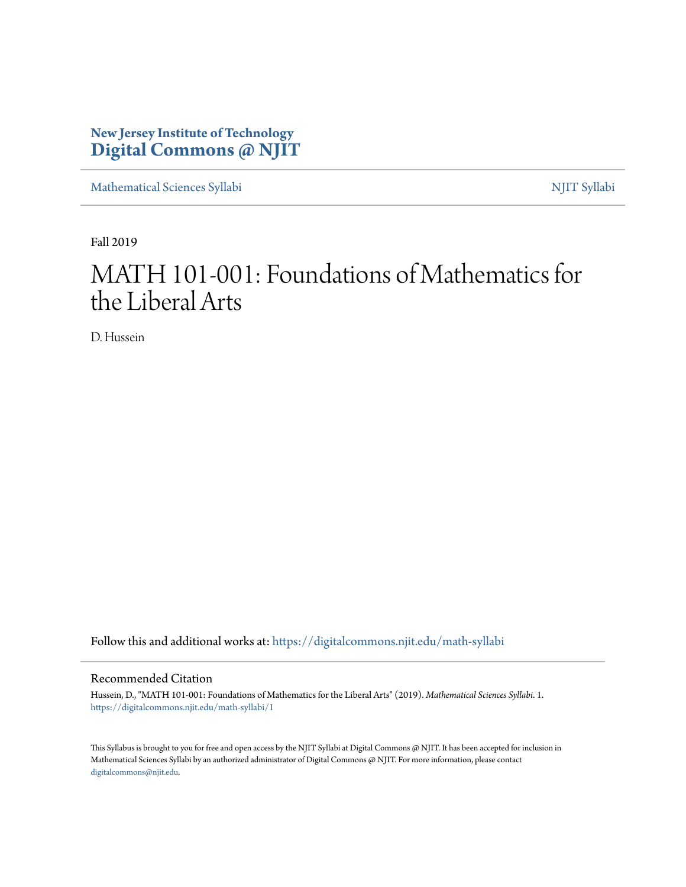# **New Jersey Institute of Technology [Digital Commons @ NJIT](https://digitalcommons.njit.edu/?utm_source=digitalcommons.njit.edu%2Fmath-syllabi%2F1&utm_medium=PDF&utm_campaign=PDFCoverPages)**

[Mathematical Sciences Syllabi](https://digitalcommons.njit.edu/math-syllabi?utm_source=digitalcommons.njit.edu%2Fmath-syllabi%2F1&utm_medium=PDF&utm_campaign=PDFCoverPages) [NJIT Syllabi](https://digitalcommons.njit.edu/syllabi?utm_source=digitalcommons.njit.edu%2Fmath-syllabi%2F1&utm_medium=PDF&utm_campaign=PDFCoverPages)

Fall 2019

# MATH 101-001: Foundations of Mathematics for the Liberal Arts

D. Hussein

Follow this and additional works at: [https://digitalcommons.njit.edu/math-syllabi](https://digitalcommons.njit.edu/math-syllabi?utm_source=digitalcommons.njit.edu%2Fmath-syllabi%2F1&utm_medium=PDF&utm_campaign=PDFCoverPages)

#### Recommended Citation

Hussein, D., "MATH 101-001: Foundations of Mathematics for the Liberal Arts" (2019). *Mathematical Sciences Syllabi*. 1. [https://digitalcommons.njit.edu/math-syllabi/1](https://digitalcommons.njit.edu/math-syllabi/1?utm_source=digitalcommons.njit.edu%2Fmath-syllabi%2F1&utm_medium=PDF&utm_campaign=PDFCoverPages)

This Syllabus is brought to you for free and open access by the NJIT Syllabi at Digital Commons @ NJIT. It has been accepted for inclusion in Mathematical Sciences Syllabi by an authorized administrator of Digital Commons @ NJIT. For more information, please contact [digitalcommons@njit.edu](mailto:digitalcommons@njit.edu).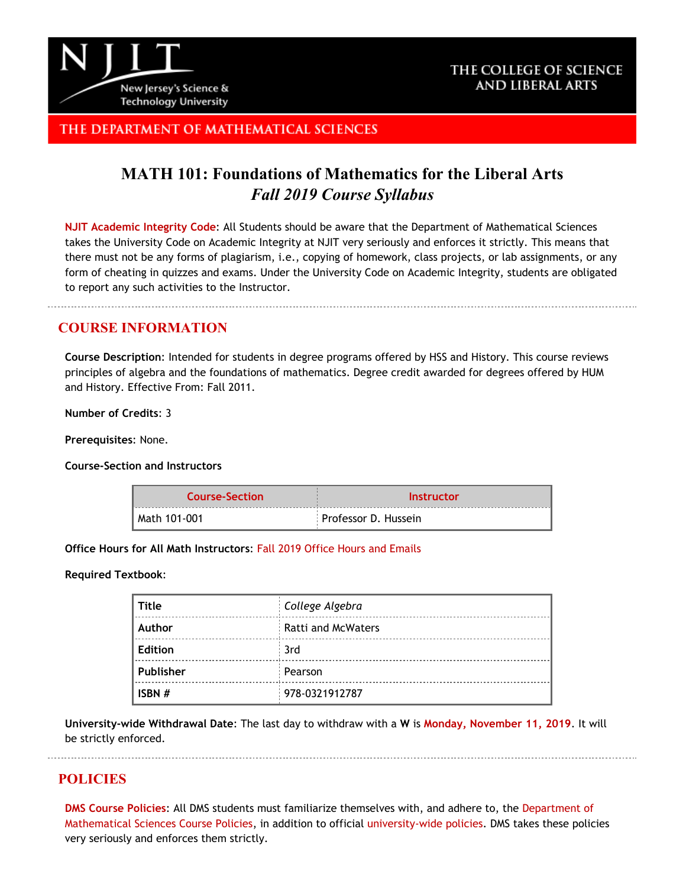

## THE COLLEGE OF SCIENCE **AND LIBERAL ARTS**

## THE DEPARTMENT OF MATHEMATICAL SCIENCES

# **MATH 101: Foundations of Mathematics for the Liberal Arts** *Fall 2019 Course Syllabus*

**[NJIT Academic Integrity Code](http://www.njit.edu/policies/sites/policies/files/academic-integrity-code.pdf)**: All Students should be aware that the Department of Mathematical Sciences takes the University Code on Academic Integrity at NJIT very seriously and enforces it strictly. This means that there must not be any forms of plagiarism, i.e., copying of homework, class projects, or lab assignments, or any form of cheating in quizzes and exams. Under the University Code on Academic Integrity, students are obligated to report any such activities to the Instructor.

## **COURSE INFORMATION**

**Course Description**: Intended for students in degree programs offered by HSS and History. This course reviews principles of algebra and the foundations of mathematics. Degree credit awarded for degrees offered by HUM and History. Effective From: Fall 2011.

**Number of Credits**: 3

**Prerequisites**: None.

**Course-Section and Instructors**

| <b>Course-Section</b> | <b>Instructor</b>    |  |
|-----------------------|----------------------|--|
| Math 101-001          | Professor D. Hussein |  |

**Office Hours for All Math Instructors**: [Fall 2019 Office Hours and Emails](http://math.njit.edu/students/officehours.php)

#### **Required Textbook**:

| <b>Title</b>   | College Algebra           |
|----------------|---------------------------|
| Author         | <b>Ratti and McWaters</b> |
| <b>Edition</b> | 3rd                       |
| Publisher      | Pearson                   |
| ISBN #         | 978-0321912787            |

**University-wide Withdrawal Date**: The last day to withdraw with a **W** is **[Monday, November 11, 2019](http://www.njit.edu/registrar/calendars/2016Fall.php)**. It will be strictly enforced.

## **POLICIES**

**[DMS Course Policies](http://math.njit.edu/students/undergraduate/policies_math.php)**: All DMS students must familiarize themselves with, and adhere to, the [Department of](http://math.njit.edu/students/undergraduate/policies_math.php) [Mathematical Sciences Course Policies](http://math.njit.edu/students/undergraduate/policies_math.php), in addition to official [university-wide policies](http://catalog.njit.edu/undergraduate/academic-policies-procedures/). DMS takes these policies very seriously and enforces them strictly.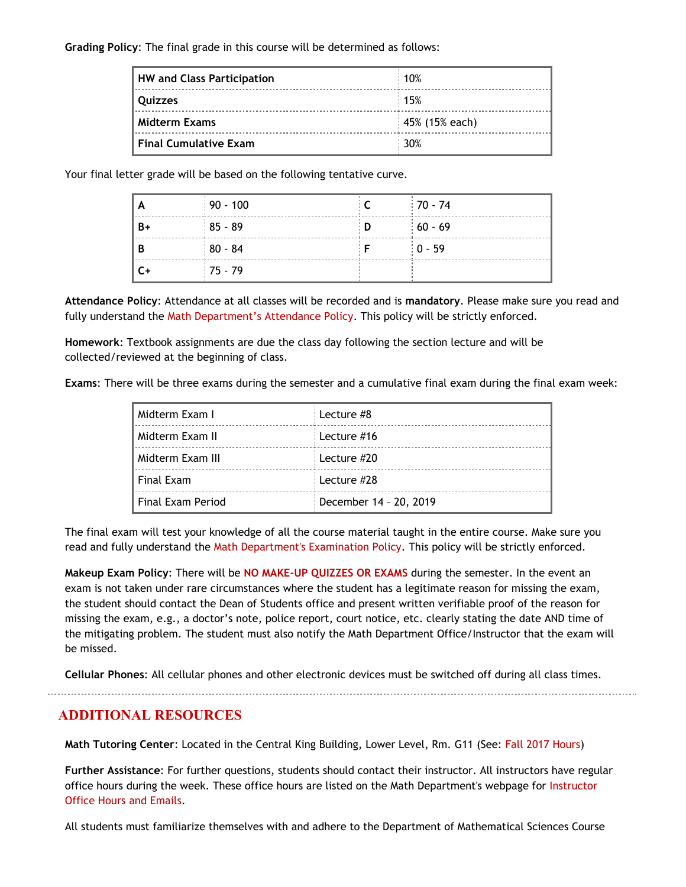#### **Grading Policy**: The final grade in this course will be determined as follows:

| HW and Class Participation | 10%                          |
|----------------------------|------------------------------|
| <b>Ouizzes</b>             | .15%                         |
| Midterm Exams              | $\frac{1}{2}$ 45% (15% each) |
| Final Cumulative Exam      | 30%                          |

Your final letter grade will be based on the following tentative curve.

| ١A   | $90 - 100$ |     | $170 - 74$ |
|------|------------|-----|------------|
| $B+$ | $185 - 89$ | : D | $60 - 69$  |
| B    | $80 - 84$  |     | $10 - 59$  |
| C+   | $:75 - 79$ |     |            |

**Attendance Policy**: Attendance at all classes will be recorded and is **mandatory**. Please make sure you read and fully understand the [Math Department's Attendance Policy.](http://math.njit.edu/students/policies_attendance.php) This policy will be strictly enforced.

**Homework**: Textbook assignments are due the class day following the section lecture and will be collected/reviewed at the beginning of class.

**Exams**: There will be three exams during the semester and a cumulative final exam during the final exam week:

| Midterm Exam I      | Lecture #8             |
|---------------------|------------------------|
| Midterm Exam II     | Lecture #16            |
| Midterm Exam III    | : Lecture #20          |
| Final Exam          | Lecture #28            |
| l Final Exam Period | December 14 - 20, 2019 |

The final exam will test your knowledge of all the course material taught in the entire course. Make sure you read and fully understand the [Math Department's Examination Policy](http://math.njit.edu/students/policies_exam.php). This policy will be strictly enforced.

**Makeup Exam Policy**: There will be **NO MAKE-UP QUIZZES OR EXAMS** during the semester. In the event an exam is not taken under rare circumstances where the student has a legitimate reason for missing the exam, the student should contact the Dean of Students office and present written verifiable proof of the reason for missing the exam, e.g., a doctor's note, police report, court notice, etc. clearly stating the date AND time of the mitigating problem. The student must also notify the Math Department Office/Instructor that the exam will be missed.

**Cellular Phones**: All cellular phones and other electronic devices must be switched off during all class times.

**ADDITIONAL RESOURCES**

**Math Tutoring Center**: Located in the Central King Building, Lower Level, Rm. G11 (See[: Fall 2017 Hours](http://math.njit.edu/students/undergraduate/tutoring_help.php))

**Further Assistance**: For further questions, students should contact their instructor. All instructors have regular office hours during the week. These office hours are listed on the Math Department's webpage for [Instructor](http://math.njit.edu/students/officehours.php) [Office Hours and Emails](http://math.njit.edu/students/officehours.php).

All students must familiarize themselves with and adhere to the Department of Mathematical Sciences Course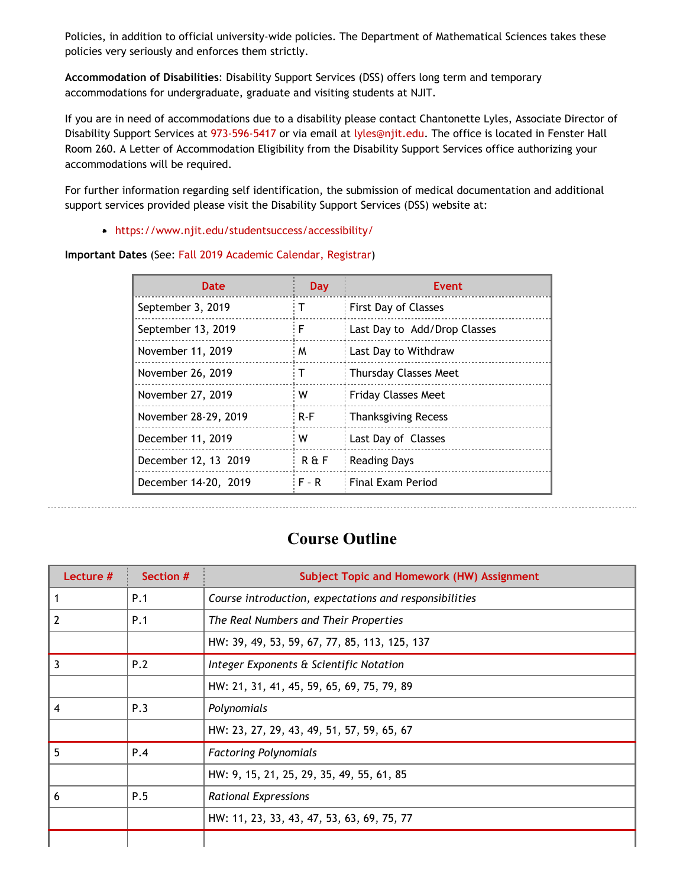Policies, in addition to official university-wide policies. The Department of Mathematical Sciences takes these policies very seriously and enforces them strictly.

**Accommodation of Disabilities**: Disability Support Services (DSS) offers long term and temporary accommodations for undergraduate, graduate and visiting students at NJIT.

If you are in need of accommodations due to a disability please contact Chantonette Lyles, Associate Director of Disability Support Services at [973-596-5417](tel:973-596-5417) or via email at [lyles@njit.edu](mailto:lyles@njit.edu). The office is located in Fenster Hall Room 260. A Letter of Accommodation Eligibility from the Disability Support Services office authorizing your accommodations will be required.

For further information regarding self identification, the submission of medical documentation and additional support services provided please visit the Disability Support Services (DSS) website at:

[https://www.njit.edu/studentsuccess/accessibility/](http://www5.njit.edu/studentsuccess/disability-support-services/)

#### **Important Dates** (See: [Fall 2019 Academic Calendar, Registrar](https://www.njit.edu/registrar/fall-2019-academic-calendar/))

| Date                 | Day         | Event                        |
|----------------------|-------------|------------------------------|
| September 3, 2019    | т           | First Day of Classes         |
| September 13, 2019   | F           | Last Day to Add/Drop Classes |
| November 11, 2019    | M           | Last Day to Withdraw         |
| November 26, 2019    | т           | <b>Thursday Classes Meet</b> |
| November 27, 2019    | w           | <b>Friday Classes Meet</b>   |
| November 28-29, 2019 | $R-F$       | <b>Thanksgiving Recess</b>   |
| December 11, 2019    | w           | Last Day of Classes          |
| December 12, 13 2019 | $R \nmid F$ | <b>Reading Days</b>          |
| December 14-20, 2019 | $F - R$     | Final Exam Period            |

# **Course Outline**

| Lecture $#$    | Section # | <b>Subject Topic and Homework (HW) Assignment</b>      |
|----------------|-----------|--------------------------------------------------------|
| 1              | P.1       | Course introduction, expectations and responsibilities |
| $\overline{2}$ | P.1       | The Real Numbers and Their Properties                  |
|                |           | HW: 39, 49, 53, 59, 67, 77, 85, 113, 125, 137          |
| 3              | P.2       | Integer Exponents & Scientific Notation                |
|                |           | HW: 21, 31, 41, 45, 59, 65, 69, 75, 79, 89             |
| $\overline{4}$ | P.3       | Polynomials                                            |
|                |           | HW: 23, 27, 29, 43, 49, 51, 57, 59, 65, 67             |
| 5              | P.4       | <b>Factoring Polynomials</b>                           |
|                |           | HW: 9, 15, 21, 25, 29, 35, 49, 55, 61, 85              |
| 6              | P.5       | <b>Rational Expressions</b>                            |
|                |           | HW: 11, 23, 33, 43, 47, 53, 63, 69, 75, 77             |
|                |           |                                                        |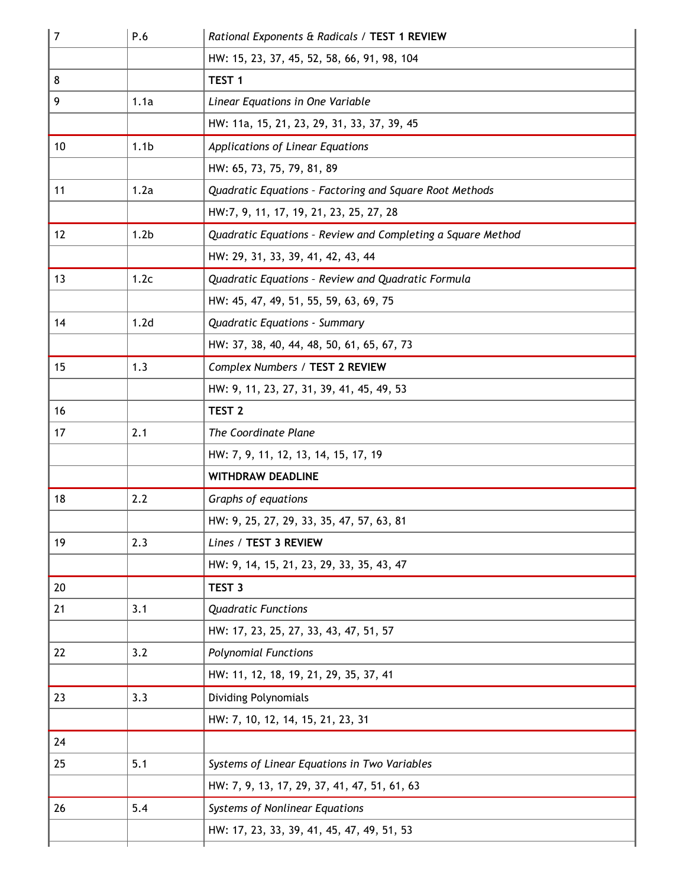| $\overline{7}$ | P.6              | Rational Exponents & Radicals / TEST 1 REVIEW               |  |  |
|----------------|------------------|-------------------------------------------------------------|--|--|
|                |                  | HW: 15, 23, 37, 45, 52, 58, 66, 91, 98, 104                 |  |  |
| 8              |                  | TEST <sub>1</sub>                                           |  |  |
| 9              | 1.1a             | Linear Equations in One Variable                            |  |  |
|                |                  | HW: 11a, 15, 21, 23, 29, 31, 33, 37, 39, 45                 |  |  |
| 10             | 1.1 <sub>b</sub> | Applications of Linear Equations                            |  |  |
|                |                  | HW: 65, 73, 75, 79, 81, 89                                  |  |  |
| 11             | 1.2a             | Quadratic Equations - Factoring and Square Root Methods     |  |  |
|                |                  | HW:7, 9, 11, 17, 19, 21, 23, 25, 27, 28                     |  |  |
| 12             | 1.2 <sub>b</sub> | Quadratic Equations - Review and Completing a Square Method |  |  |
|                |                  | HW: 29, 31, 33, 39, 41, 42, 43, 44                          |  |  |
| 13             | 1.2c             | Quadratic Equations - Review and Quadratic Formula          |  |  |
|                |                  | HW: 45, 47, 49, 51, 55, 59, 63, 69, 75                      |  |  |
| 14             | 1.2 <sub>d</sub> | Quadratic Equations - Summary                               |  |  |
|                |                  | HW: 37, 38, 40, 44, 48, 50, 61, 65, 67, 73                  |  |  |
| 15             | 1.3              | Complex Numbers / TEST 2 REVIEW                             |  |  |
|                |                  | HW: 9, 11, 23, 27, 31, 39, 41, 45, 49, 53                   |  |  |
| 16             |                  | TEST <sub>2</sub>                                           |  |  |
| 17             | 2.1              | The Coordinate Plane                                        |  |  |
|                |                  | HW: 7, 9, 11, 12, 13, 14, 15, 17, 19                        |  |  |
|                |                  | <b>WITHDRAW DEADLINE</b>                                    |  |  |
| 18             | 2.2              | Graphs of equations                                         |  |  |
|                |                  | HW: 9, 25, 27, 29, 33, 35, 47, 57, 63, 81                   |  |  |
| 19             | 2.3              | Lines / TEST 3 REVIEW                                       |  |  |
|                |                  | HW: 9, 14, 15, 21, 23, 29, 33, 35, 43, 47                   |  |  |
| 20             |                  | TEST <sub>3</sub>                                           |  |  |
| 21             | 3.1              | <b>Quadratic Functions</b>                                  |  |  |
|                |                  | HW: 17, 23, 25, 27, 33, 43, 47, 51, 57                      |  |  |
| 22             | 3.2              | <b>Polynomial Functions</b>                                 |  |  |
|                |                  | HW: 11, 12, 18, 19, 21, 29, 35, 37, 41                      |  |  |
| 23             | 3.3              | <b>Dividing Polynomials</b>                                 |  |  |
|                |                  | HW: 7, 10, 12, 14, 15, 21, 23, 31                           |  |  |
| 24             |                  |                                                             |  |  |
| 25             | 5.1              | Systems of Linear Equations in Two Variables                |  |  |
|                |                  | HW: 7, 9, 13, 17, 29, 37, 41, 47, 51, 61, 63                |  |  |
| 26             | 5.4              | Systems of Nonlinear Equations                              |  |  |
|                |                  | HW: 17, 23, 33, 39, 41, 45, 47, 49, 51, 53                  |  |  |